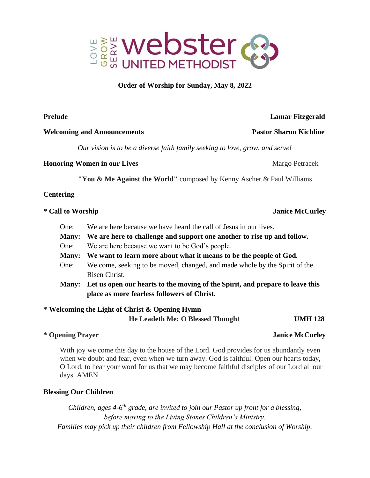

## **Order of Worship for Sunday, May 8, 2022**

### **Welcoming and Announcements Pastor Sharon Kichline**

*Our vision is to be a diverse faith family seeking to love, grow, and serve!*

## **Honoring Women in our Lives Margo Petracek Margo Petracek Margo Petracek**

 **"You & Me Against the World"** composed by Kenny Ascher & Paul Williams

## **Centering**

- One: We are here because we have heard the call of Jesus in our lives.
- **Many: We are here to challenge and support one another to rise up and follow.**
- One: We are here because we want to be God's people.
- **Many: We want to learn more about what it means to be the people of God.**
- One: We come, seeking to be moved, changed, and made whole by the Spirit of the Risen Christ.
- **Many: Let us open our hearts to the moving of the Spirit, and prepare to leave this place as more fearless followers of Christ.**

# **\* Welcoming the Light of Christ & Opening Hymn**

 **He Leadeth Me: O Blessed Thought UMH 128** 

## **\* Opening Prayer Janice McCurley**

With joy we come this day to the house of the Lord. God provides for us abundantly even when we doubt and fear, even when we turn away. God is faithful. Open our hearts today, O Lord, to hear your word for us that we may become faithful disciples of our Lord all our days. AMEN.

## **Blessing Our Children**

*Children, ages 4-6<sup>th</sup> grade, are invited to join our Pastor up front for a blessing, before moving to the Living Stones Children's Ministry. Families may pick up their children from Fellowship Hall at the conclusion of Worship.* 

## **Prelude Lamar Fitzgerald**

## **\* Call to Worship Janice McCurley**